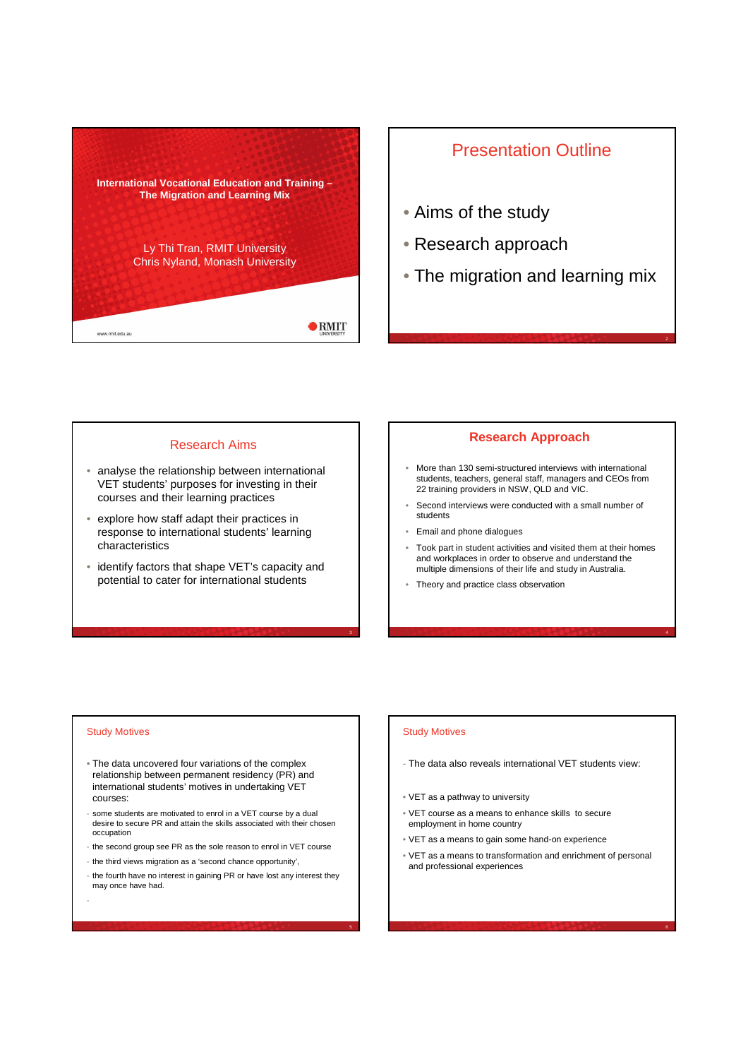

## Presentation Outline

- Aims of the study
- Research approach
- The migration and learning mix

#### Research Aims

- analyse the relationship between international VET students' purposes for investing in their courses and their learning practices
- explore how staff adapt their practices in response to international students' learning characteristics
- identify factors that shape VET's capacity and potential to cater for international students

### **Research Approach**

- More than 130 semi-structured interviews with international students, teachers, general staff, managers and CEOs from 22 training providers in NSW, QLD and VIC.
- Second interviews were conducted with a small number of students
- Email and phone dialogues
- Took part in student activities and visited them at their homes and workplaces in order to observe and understand the multiple dimensions of their life and study in Australia.
- Theory and practice class observation

#### Study Motives

-

- The data uncovered four variations of the complex relationship between permanent residency (PR) and international students' motives in undertaking VET courses:
- some students are motivated to enrol in a VET course by a dual desire to secure PR and attain the skills associated with their chosen occupation
- the second group see PR as the sole reason to enrol in VET course
- the third views migration as a 'second chance opportunity',
- the fourth have no interest in gaining PR or have lost any interest they may once have had.

# Study Motives

- The data also reveals international VET students view:
- VET as a pathway to university
- VET course as a means to enhance skills to secure employment in home country
- VET as a means to gain some hand-on experience
- VET as a means to transformation and enrichment of personal and professional experiences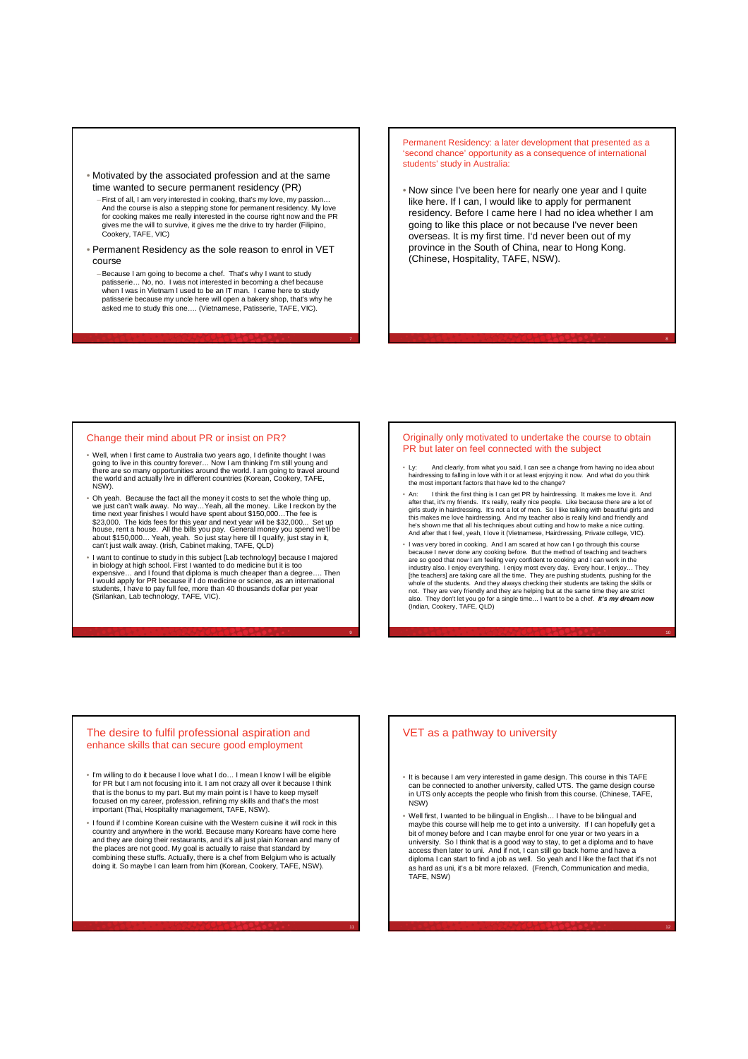#### • Motivated by the associated profession and at the same time wanted to secure permanent residency (PR)

- –First of all, I am very interested in cooking, that's my love, my passion… And the course is also a stepping stone for permanent residency. My love for cooking makes me really interested in the course right now and the PR gives me the will to survive, it gives me the drive to try harder (Filipino, gives me the will to suppose the will to support of the will to support of the victor  $\alpha$
- Permanent Residency as the sole reason to enrol in VET course
	- –Because I am going to become a chef. That's why I want to study patisserie… No, no. I was not interested in becoming a chef because when I was in Vietnam I used to be an IT man. I came here to study patisserie because my uncle here will open a bakery shop, that's why he asked me to study this one…. (Vietnamese, Patisserie, TAFE, VIC).

7

Permanent Residency: a later development that presented as a 'second chance' opportunity as a consequence of international students' study in Australia:

• Now since I've been here for nearly one year and I quite like here. If I can, I would like to apply for permanent residency. Before I came here I had no idea whether I am going to like this place or not because I've never been overseas. It is my first time. I'd never been out of my province in the South of China, near to Hong Kong. (Chinese, Hospitality, TAFE, NSW).

#### Change their mind about PR or insist on PR?

- Well, when I first came to Australia two years ago, I definite thought I was going to live in this country forever… Now I am thinking I'm still young and<br>there are so many opportunities around the world. I am going to travel around<br>the world and actually live in different countries (Korean, Cookery NSW).
- Oh yeah. Because the fact all the money it costs to set the whole thing up, we just can't walk away. No way...Yeah, all the money. Like I reckon by the<br>time next year finishes I would have spent about \$150,000...The fee is<br>\$23,000. The kids fees for this year and next year will be \$32,000... Se about \$150,000… Yeah, yeah. So just stay here till I qualify, just stay in it, can't just walk away. (Irish, Cabinet making, TAFE, QLD)
- I want to continue to study in this subject [Lab technology] because I majored in biology at high school. First I wanted to do medicine but it is too expensive… and I found that diploma is much cheaper than a degree…. Then<br>I would apply for PR because if I do medicine or science, as an international<br>students, I have to pay full fee, more than 40 thousands dollar per yea

#### Originally only motivated to undertake the course to obtain PR but later on feel connected with the subject

- Ly: And clearly, from what you said, I can see a change from having no idea about hairdressing to falling in love with it or at least enjoying it now. And what do you think the most important factors that have led to the change?
- An: Ithink the first thing is I can get PR by hairdressing. It makes me love it. And<br>after that, it's my friends. It's really, really nice people. Like because there are a lot of<br>girls study in hairdressing. It's not a lo this makes me love hairdressing. And my teacher also is really kind and friendly and<br>he's shown me that all his techniques about cutting and how to make a nice cutting.<br>And after that I feel, yeah, I love it (Vietnamese,
- I was very bored in cooking. And I am scared at how can I go through this course because I never done any cooking before. But the method of teaching and teachers<br>are so good that now I am feeling very confident to cooking and I can work in the<br>industry also. I enjoy everything. I enjoy most every day. not. They are very friendly and they are helping but at the same time they are strict<br>also. They don't let you go for a single time… I want to be a chef. *It's my dream now*<br>(Indian, Cookery, TAFE, QLD)

#### The desire to fulfil professional aspiration and enhance skills that can secure good employment

- I'm willing to do it because I love what I do… I mean I know I will be eligible for PR but I am not focusing into it. I am not crazy all over it because I think that is the bonus to my part. But my main point is I have to keep myself focused on my career, profession, refining my skills and that's the most important (Thai, Hospitality management, TAFE, NSW).
- I found if I combine Korean cuisine with the Western cuisine it will rock in this country and anywhere in the world. Because many Koreans have come here and they are doing their restaurants, and it's all just plain Korean and many of the places are not good. My goal is actually to raise that standard by combining these stuffs. Actually, there is a chef from Belgium who is actually doing it. So maybe I can learn from him (Korean, Cookery, TAFE, NSW).

#### VET as a pathway to university

- It is because I am very interested in game design. This course in this TAFE can be connected to another university, called UTS. The game design course in UTS only accepts the people who finish from this course. (Chinese, TAFE, NSW)
- Well first, I wanted to be bilingual in English… I have to be bilingual and maybe this course will help me to get into a university. If I can hopefully get a bit of money before and I can maybe enrol for one year or two years in a university. So I think that is a good way to stay, to get a diploma and to have access then later to uni. And if not, I can still go back home and have a diploma I can start to find a job as well. So yeah and I like the fact that it's not as hard as uni, it's a bit more relaxed. (French, Communication and media, TAFE, NSW)